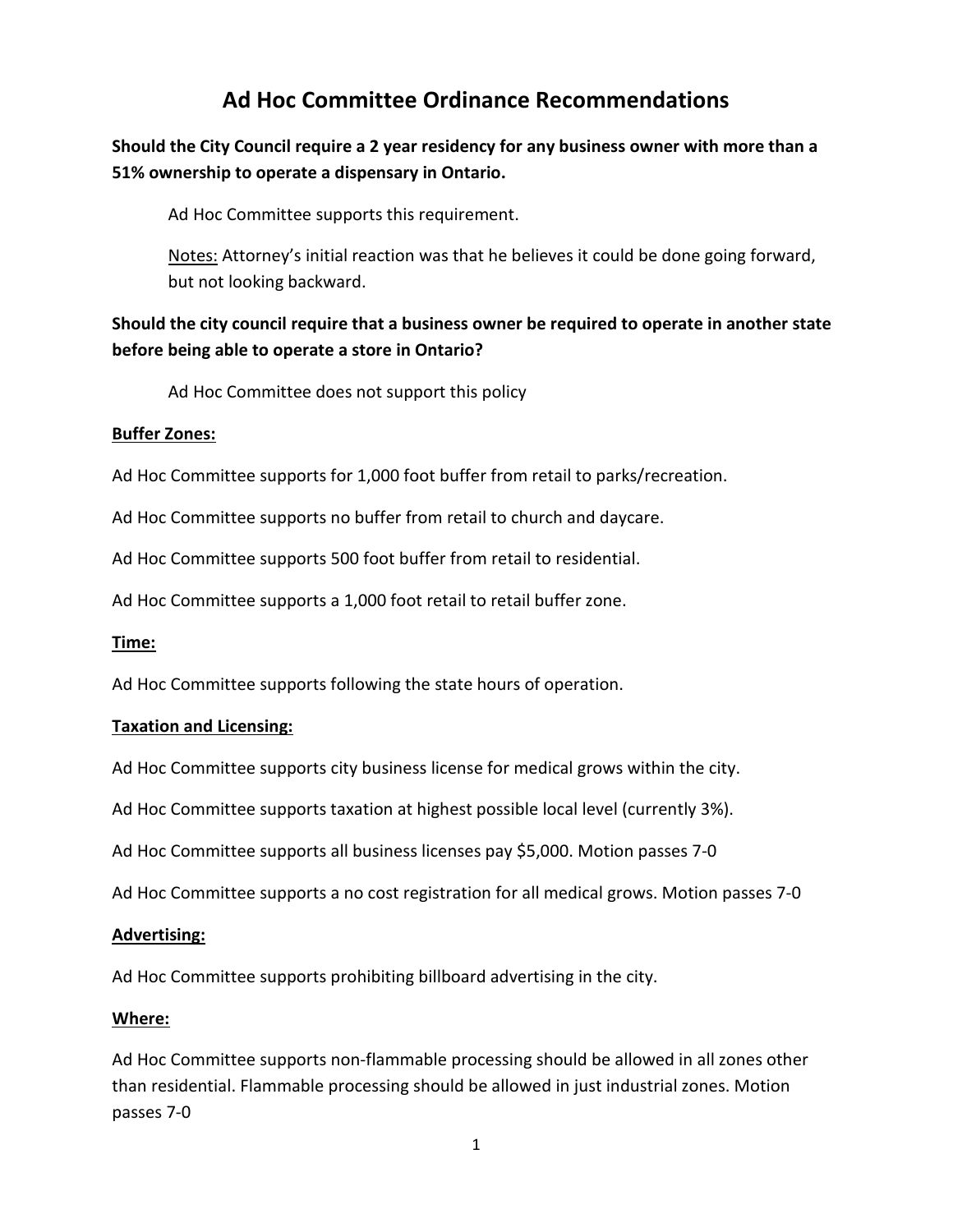# **Ad Hoc Committee Ordinance Recommendations**

## **Should the City Council require a 2 year residency for any business owner with more than a 51% ownership to operate a dispensary in Ontario.**

Ad Hoc Committee supports this requirement.

Notes: Attorney's initial reaction was that he believes it could be done going forward, but not looking backward.

## **Should the city council require that a business owner be required to operate in another state before being able to operate a store in Ontario?**

Ad Hoc Committee does not support this policy

### **Buffer Zones:**

Ad Hoc Committee supports for 1,000 foot buffer from retail to parks/recreation.

Ad Hoc Committee supports no buffer from retail to church and daycare.

Ad Hoc Committee supports 500 foot buffer from retail to residential.

Ad Hoc Committee supports a 1,000 foot retail to retail buffer zone.

### **Time:**

Ad Hoc Committee supports following the state hours of operation.

### **Taxation and Licensing:**

Ad Hoc Committee supports city business license for medical grows within the city.

Ad Hoc Committee supports taxation at highest possible local level (currently 3%).

Ad Hoc Committee supports all business licenses pay \$5,000. Motion passes 7-0

Ad Hoc Committee supports a no cost registration for all medical grows. Motion passes 7-0

### **Advertising:**

Ad Hoc Committee supports prohibiting billboard advertising in the city.

### **Where:**

Ad Hoc Committee supports non-flammable processing should be allowed in all zones other than residential. Flammable processing should be allowed in just industrial zones. Motion passes 7-0